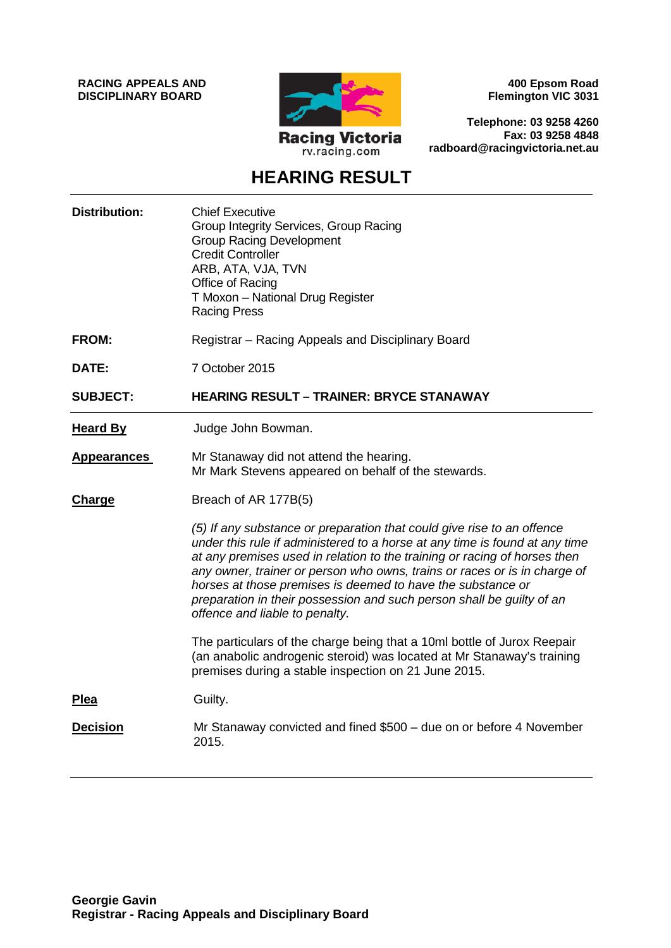**RACING APPEALS AND DISCIPLINARY BOARD**



**400 Epsom Road Flemington VIC 3031**

**Telephone: 03 9258 4260 Fax: 03 9258 4848 radboard@racingvictoria.net.au**

# **HEARING RESULT**

| <b>Distribution:</b> | <b>Chief Executive</b><br>Group Integrity Services, Group Racing<br><b>Group Racing Development</b><br><b>Credit Controller</b><br>ARB, ATA, VJA, TVN<br>Office of Racing<br>T Moxon - National Drug Register<br><b>Racing Press</b>                                                                                                                                                                                                                                                      |
|----------------------|-------------------------------------------------------------------------------------------------------------------------------------------------------------------------------------------------------------------------------------------------------------------------------------------------------------------------------------------------------------------------------------------------------------------------------------------------------------------------------------------|
| <b>FROM:</b>         | Registrar - Racing Appeals and Disciplinary Board                                                                                                                                                                                                                                                                                                                                                                                                                                         |
| DATE:                | 7 October 2015                                                                                                                                                                                                                                                                                                                                                                                                                                                                            |
| <b>SUBJECT:</b>      | <b>HEARING RESULT - TRAINER: BRYCE STANAWAY</b>                                                                                                                                                                                                                                                                                                                                                                                                                                           |
| <b>Heard By</b>      | Judge John Bowman.                                                                                                                                                                                                                                                                                                                                                                                                                                                                        |
| <b>Appearances</b>   | Mr Stanaway did not attend the hearing.<br>Mr Mark Stevens appeared on behalf of the stewards.                                                                                                                                                                                                                                                                                                                                                                                            |
| <b>Charge</b>        | Breach of AR 177B(5)                                                                                                                                                                                                                                                                                                                                                                                                                                                                      |
|                      | (5) If any substance or preparation that could give rise to an offence<br>under this rule if administered to a horse at any time is found at any time<br>at any premises used in relation to the training or racing of horses then<br>any owner, trainer or person who owns, trains or races or is in charge of<br>horses at those premises is deemed to have the substance or<br>preparation in their possession and such person shall be guilty of an<br>offence and liable to penalty. |
|                      | The particulars of the charge being that a 10ml bottle of Jurox Reepair<br>(an anabolic androgenic steroid) was located at Mr Stanaway's training<br>premises during a stable inspection on 21 June 2015.                                                                                                                                                                                                                                                                                 |
| <b>Plea</b>          | Guilty.                                                                                                                                                                                                                                                                                                                                                                                                                                                                                   |
| <b>Decision</b>      | Mr Stanaway convicted and fined \$500 - due on or before 4 November<br>2015.                                                                                                                                                                                                                                                                                                                                                                                                              |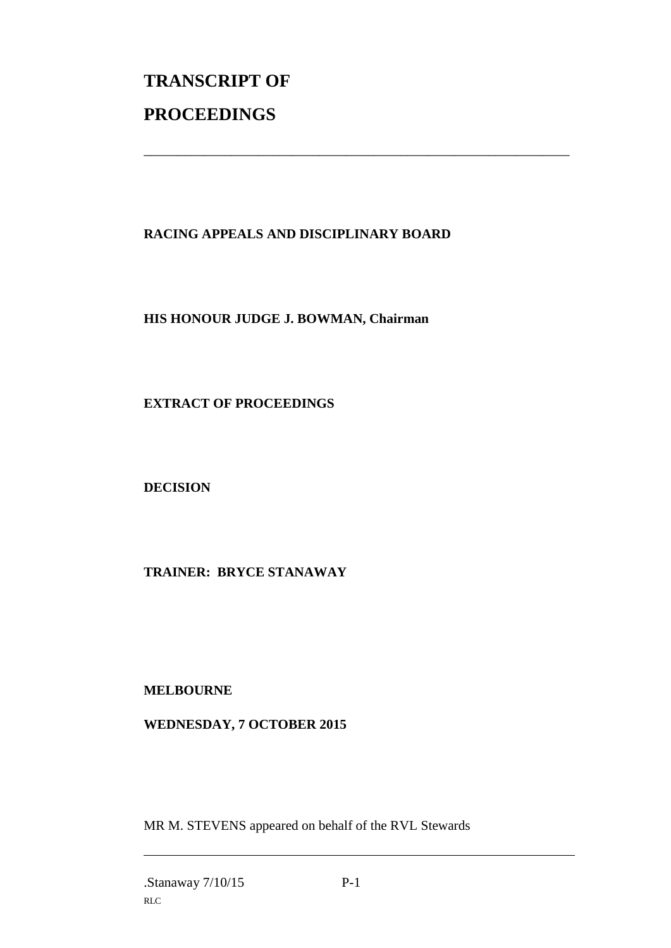# **TRANSCRIPT OF PROCEEDINGS**

## **RACING APPEALS AND DISCIPLINARY BOARD**

\_\_\_\_\_\_\_\_\_\_\_\_\_\_\_\_\_\_\_\_\_\_\_\_\_\_\_\_\_\_\_\_\_\_\_\_\_\_\_\_\_\_\_\_\_\_\_\_\_\_\_\_\_\_\_\_\_\_\_\_\_\_\_

#### **HIS HONOUR JUDGE J. BOWMAN, Chairman**

#### **EXTRACT OF PROCEEDINGS**

**DECISION**

## **TRAINER: BRYCE STANAWAY**

#### **MELBOURNE**

#### **WEDNESDAY, 7 OCTOBER 2015**

MR M. STEVENS appeared on behalf of the RVL Stewards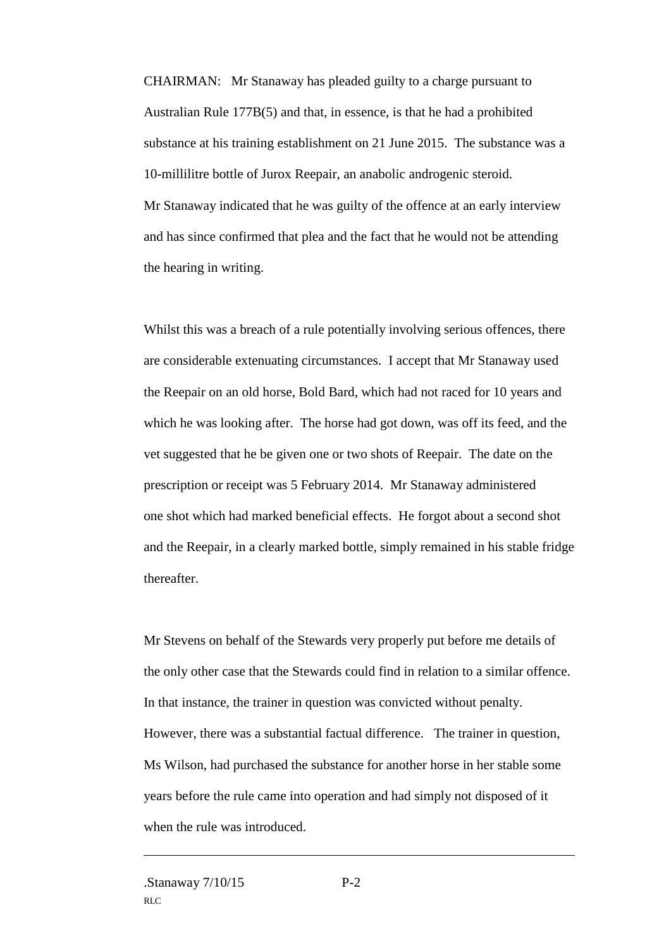CHAIRMAN: Mr Stanaway has pleaded guilty to a charge pursuant to Australian Rule 177B(5) and that, in essence, is that he had a prohibited substance at his training establishment on 21 June 2015. The substance was a 10-millilitre bottle of Jurox Reepair, an anabolic androgenic steroid. Mr Stanaway indicated that he was guilty of the offence at an early interview and has since confirmed that plea and the fact that he would not be attending the hearing in writing.

Whilst this was a breach of a rule potentially involving serious offences, there are considerable extenuating circumstances. I accept that Mr Stanaway used the Reepair on an old horse, Bold Bard, which had not raced for 10 years and which he was looking after. The horse had got down, was off its feed, and the vet suggested that he be given one or two shots of Reepair. The date on the prescription or receipt was 5 February 2014. Mr Stanaway administered one shot which had marked beneficial effects. He forgot about a second shot and the Reepair, in a clearly marked bottle, simply remained in his stable fridge thereafter.

Mr Stevens on behalf of the Stewards very properly put before me details of the only other case that the Stewards could find in relation to a similar offence. In that instance, the trainer in question was convicted without penalty. However, there was a substantial factual difference. The trainer in question, Ms Wilson, had purchased the substance for another horse in her stable some years before the rule came into operation and had simply not disposed of it when the rule was introduced.